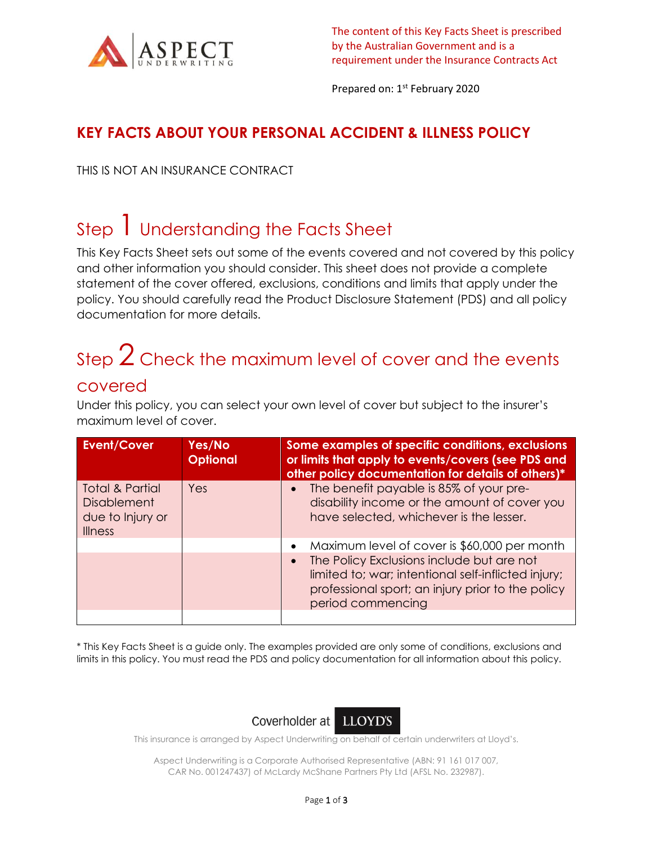

The content of this Key Facts Sheet is prescribed by the Australian Government and is a requirement under the Insurance Contracts Act

Prepared on: 1<sup>st</sup> February 2020

#### **KEY FACTS ABOUT YOUR PERSONAL ACCIDENT & ILLNESS POLICY**

THIS IS NOT AN INSURANCE CONTRACT

### Step I Understanding the Facts Sheet

This Key Facts Sheet sets out some of the events covered and not covered by this policy and other information you should consider. This sheet does not provide a complete statement of the cover offered, exclusions, conditions and limits that apply under the policy. You should carefully read the Product Disclosure Statement (PDS) and all policy documentation for more details.

# Step  $2$  Check the maximum level of cover and the events

#### covered

Under this policy, you can select your own level of cover but subject to the insurer's maximum level of cover.

| <b>Event/Cover</b>                                                                     | Yes/No<br><b>Optional</b> | Some examples of specific conditions, exclusions<br>or limits that apply to events/covers (see PDS and<br>other policy documentation for details of others)*                            |
|----------------------------------------------------------------------------------------|---------------------------|-----------------------------------------------------------------------------------------------------------------------------------------------------------------------------------------|
| <b>Total &amp; Partial</b><br><b>Disablement</b><br>due to Injury or<br><b>Illness</b> | Yes                       | The benefit payable is 85% of your pre-<br>$\bullet$<br>disability income or the amount of cover you<br>have selected, whichever is the lesser.                                         |
|                                                                                        |                           | Maximum level of cover is \$60,000 per month<br>$\bullet$                                                                                                                               |
|                                                                                        |                           | The Policy Exclusions include but are not<br>$\bullet$<br>limited to; war; intentional self-inflicted injury;<br>professional sport; an injury prior to the policy<br>period commencing |
|                                                                                        |                           |                                                                                                                                                                                         |

\* This Key Facts Sheet is a guide only. The examples provided are only some of conditions, exclusions and limits in this policy. You must read the PDS and policy documentation for all information about this policy.



This insurance is arranged by Aspect Underwriting on behalf of certain underwriters at Lloyd's.

Aspect Underwriting is a Corporate Authorised Representative (ABN: 91 161 017 007, CAR No. 001247437) of McLardy McShane Partners Pty Ltd (AFSL No. 232987).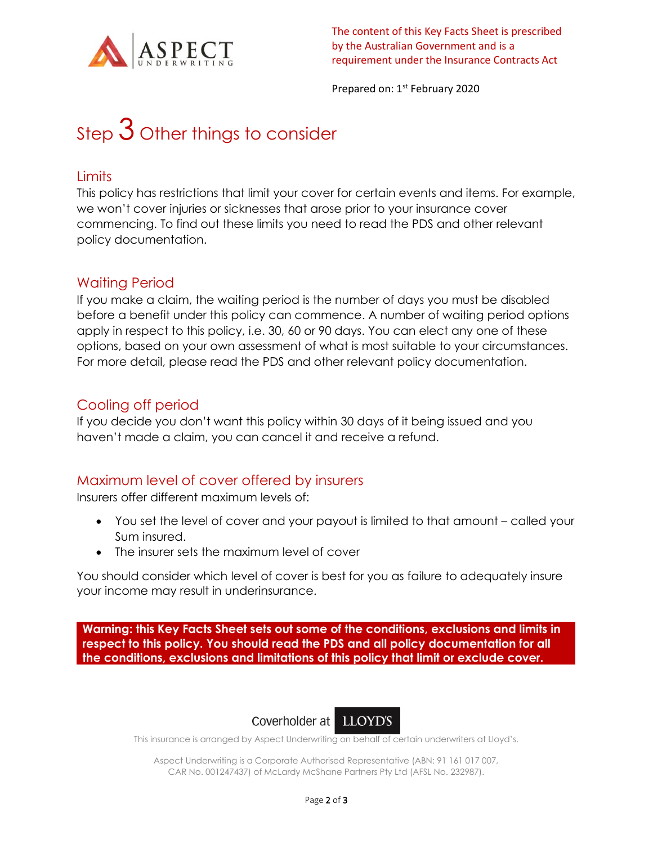

Prepared on: 1<sup>st</sup> February 2020

# Step  $3$  Other things to consider

#### **Limits**

This policy has restrictions that limit your cover for certain events and items. For example, we won't cover injuries or sicknesses that arose prior to your insurance cover commencing. To find out these limits you need to read the PDS and other relevant policy documentation.

#### Waiting Period

If you make a claim, the waiting period is the number of days you must be disabled before a benefit under this policy can commence. A number of waiting period options apply in respect to this policy, i.e. 30, 60 or 90 days. You can elect any one of these options, based on your own assessment of what is most suitable to your circumstances. For more detail, please read the PDS and other relevant policy documentation.

#### Cooling off period

If you decide you don't want this policy within 30 days of it being issued and you haven't made a claim, you can cancel it and receive a refund.

#### Maximum level of cover offered by insurers

Insurers offer different maximum levels of:

- You set the level of cover and your payout is limited to that amount called your Sum insured.
- The insurer sets the maximum level of cover

You should consider which level of cover is best for you as failure to adequately insure your income may result in underinsurance.

**Warning: this Key Facts Sheet sets out some of the conditions, exclusions and limits in respect to this policy. You should read the PDS and all policy documentation for all the conditions, exclusions and limitations of this policy that limit or exclude cover.**



This insurance is arranged by Aspect Underwriting on behalf of certain underwriters at Lloyd's.

Aspect Underwriting is a Corporate Authorised Representative (ABN: 91 161 017 007, CAR No. 001247437) of McLardy McShane Partners Pty Ltd (AFSL No. 232987).